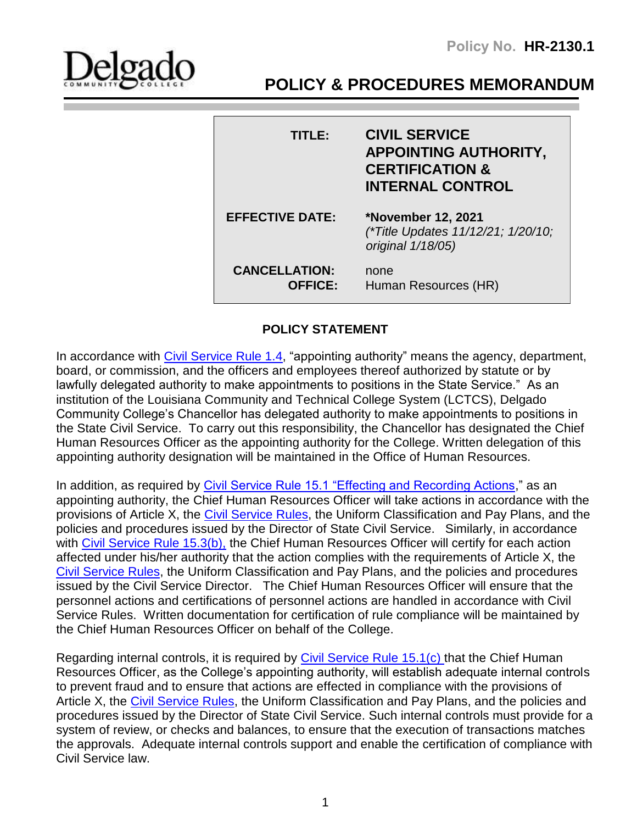**Policy No. HR-2130.1**



# **POLICY & PROCEDURES MEMORANDUM**

| TITLE:                                 | <b>CIVIL SERVICE</b><br><b>APPOINTING AUTHORITY,</b><br><b>CERTIFICATION &amp;</b><br><b>INTERNAL CONTROL</b> |
|----------------------------------------|---------------------------------------------------------------------------------------------------------------|
| <b>EFFECTIVE DATE:</b>                 | <b>*November 12, 2021</b><br>(*Title Updates 11/12/21; 1/20/10;<br>original 1/18/05)                          |
| <b>CANCELLATION:</b><br><b>OFFICE:</b> | none<br>Human Resources (HR)                                                                                  |

## **POLICY STATEMENT**

I

In accordance with [Civil Service Rule 1.4,](http://www.civilservice.louisiana.gov/CSRules/Chapter1.aspx) "appointing authority" means the agency, department, board, or commission, and the officers and employees thereof authorized by statute or by lawfully delegated authority to make appointments to positions in the State Service." As an institution of the Louisiana Community and Technical College System (LCTCS), Delgado Community College's Chancellor has delegated authority to make appointments to positions in the State Civil Service. To carry out this responsibility, the Chancellor has designated the Chief Human Resources Officer as the appointing authority for the College. Written delegation of this appointing authority designation will be maintained in the Office of Human Resources.

In addition, as required by [Civil Service Rule 15.1 "Effecting and Recording Actions,](http://www.civilservice.louisiana.gov/CSRules/Chapter15.aspx)" as an appointing authority, the Chief Human Resources Officer will take actions in accordance with the provisions of Article X, the [Civil Service Rules,](http://www.civilservice.louisiana.gov/CSRules/Index.aspx) the Uniform Classification and Pay Plans, and the policies and procedures issued by the Director of State Civil Service. Similarly, in accordance with [Civil Service Rule 15.3\(b\),](http://www.civilservice.louisiana.gov/CSRules/Chapter15.aspx) the Chief Human Resources Officer will certify for each action affected under his/her authority that the action complies with the requirements of Article X, the [Civil Service Rules,](http://www.civilservice.louisiana.gov/CSRules/Index.aspx) the Uniform Classification and Pay Plans, and the policies and procedures issued by the Civil Service Director. The Chief Human Resources Officer will ensure that the personnel actions and certifications of personnel actions are handled in accordance with Civil Service Rules. Written documentation for certification of rule compliance will be maintained by the Chief Human Resources Officer on behalf of the College.

Regarding internal controls, it is required by [Civil Service Rule 15.1\(c\) t](http://www.civilservice.louisiana.gov/CSRules/Chapter15.aspx)hat the Chief Human Resources Officer, as the College's appointing authority, will establish adequate internal controls to prevent fraud and to ensure that actions are effected in compliance with the provisions of Article X, the [Civil Service Rules,](http://www.civilservice.louisiana.gov/CSRules/Index.aspx) the Uniform Classification and Pay Plans, and the policies and procedures issued by the Director of State Civil Service. Such internal controls must provide for a system of review, or checks and balances, to ensure that the execution of transactions matches the approvals. Adequate internal controls support and enable the certification of compliance with Civil Service law.